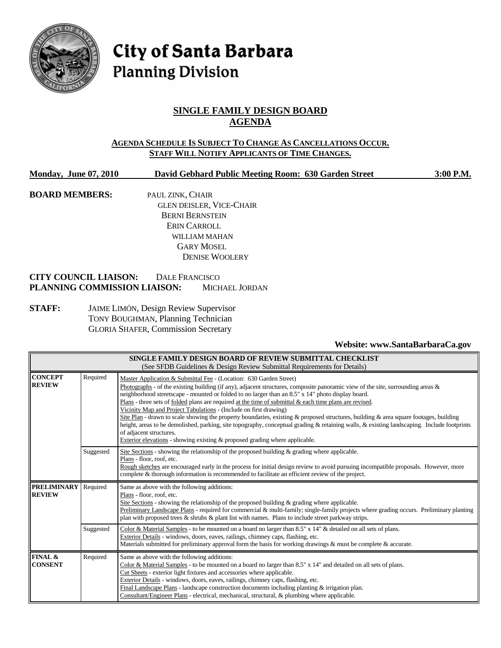

# City of Santa Barbara **Planning Division**

## **SINGLE FAMILY DESIGN BOARD AGENDA**

#### **AGENDA SCHEDULE IS SUBJECT TO CHANGE AS CANCELLATIONS OCCUR. STAFF WILL NOTIFY APPLICANTS OF TIME CHANGES.**

**Monday, June 07, 2010 David Gebhard Public Meeting Room: 630 Garden Street 3:00 P.M.**

**BOARD MEMBERS:** PAUL ZINK, CHAIR GLEN DEISLER, VICE-CHAIR BERNI BERNSTEIN ERIN CARROLL WILLIAM MAHAN GARY MOSEL DENISE WOOLERY

#### **CITY COUNCIL LIAISON:** DALE FRANCISCO **PLANNING COMMISSION LIAISON:** MICHAEL JORDAN

**STAFF:** JAIME LIMÓN, Design Review Supervisor TONY BOUGHMAN, Planning Technician GLORIA SHAFER, Commission Secretary

#### **Website: www.SantaBarbaraCa.gov**

| SINGLE FAMILY DESIGN BOARD OF REVIEW SUBMITTAL CHECKLIST<br>(See SFDB Guidelines & Design Review Submittal Requirements for Details) |           |                                                                                                                                                                                                                                                                                                                                                                                                                                                                                                                                                                                                                                                                                                                                                                                                                                                                                                |  |  |  |
|--------------------------------------------------------------------------------------------------------------------------------------|-----------|------------------------------------------------------------------------------------------------------------------------------------------------------------------------------------------------------------------------------------------------------------------------------------------------------------------------------------------------------------------------------------------------------------------------------------------------------------------------------------------------------------------------------------------------------------------------------------------------------------------------------------------------------------------------------------------------------------------------------------------------------------------------------------------------------------------------------------------------------------------------------------------------|--|--|--|
| <b>CONCEPT</b><br><b>REVIEW</b>                                                                                                      | Required  | Master Application & Submittal Fee - (Location: 630 Garden Street)<br>Photographs - of the existing building (if any), adjacent structures, composite panoramic view of the site, surrounding areas $\&$<br>neighborhood streetscape - mounted or folded to no larger than an 8.5" x 14" photo display board.<br>Plans - three sets of folded plans are required at the time of submittal & each time plans are revised.<br>Vicinity Map and Project Tabulations - (Include on first drawing)<br>Site Plan - drawn to scale showing the property boundaries, existing & proposed structures, building & area square footages, building<br>height, areas to be demolished, parking, site topography, conceptual grading & retaining walls, & existing landscaping. Include footprints<br>of adjacent structures.<br>Exterior elevations - showing existing & proposed grading where applicable. |  |  |  |
|                                                                                                                                      | Suggested | Site Sections - showing the relationship of the proposed building $\&$ grading where applicable.<br>Plans - floor, roof, etc.<br>Rough sketches are encouraged early in the process for initial design review to avoid pursuing incompatible proposals. However, more<br>complete & thorough information is recommended to facilitate an efficient review of the project.                                                                                                                                                                                                                                                                                                                                                                                                                                                                                                                      |  |  |  |
| <b>PRELIMINARY</b><br><b>REVIEW</b>                                                                                                  | Required  | Same as above with the following additions:<br>Plans - floor, roof, etc.<br>Site Sections - showing the relationship of the proposed building $\&$ grading where applicable.<br>Preliminary Landscape Plans - required for commercial & multi-family; single-family projects where grading occurs. Preliminary planting<br>plan with proposed trees & shrubs & plant list with names. Plans to include street parkway strips.                                                                                                                                                                                                                                                                                                                                                                                                                                                                  |  |  |  |
|                                                                                                                                      | Suggested | Color & Material Samples - to be mounted on a board no larger than 8.5" x 14" & detailed on all sets of plans.<br>Exterior Details - windows, doors, eaves, railings, chimney caps, flashing, etc.<br>Materials submitted for preliminary approval form the basis for working drawings $\&$ must be complete $\&$ accurate.                                                                                                                                                                                                                                                                                                                                                                                                                                                                                                                                                                    |  |  |  |
| FINAL &<br><b>CONSENT</b>                                                                                                            | Required  | Same as above with the following additions:<br>Color & Material Samples - to be mounted on a board no larger than $8.5"$ x $14"$ and detailed on all sets of plans.<br>Cut Sheets - exterior light fixtures and accessories where applicable.<br>Exterior Details - windows, doors, eaves, railings, chimney caps, flashing, etc.<br>Final Landscape Plans - landscape construction documents including planting $&$ irrigation plan.<br>Consultant/Engineer Plans - electrical, mechanical, structural, & plumbing where applicable.                                                                                                                                                                                                                                                                                                                                                          |  |  |  |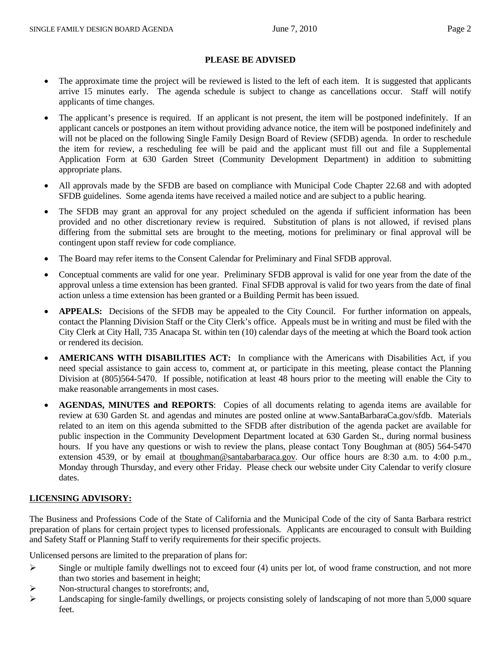#### **PLEASE BE ADVISED**

- The approximate time the project will be reviewed is listed to the left of each item. It is suggested that applicants arrive 15 minutes early. The agenda schedule is subject to change as cancellations occur. Staff will notify applicants of time changes.
- The applicant's presence is required. If an applicant is not present, the item will be postponed indefinitely. If an applicant cancels or postpones an item without providing advance notice, the item will be postponed indefinitely and will not be placed on the following Single Family Design Board of Review (SFDB) agenda. In order to reschedule the item for review, a rescheduling fee will be paid and the applicant must fill out and file a Supplemental Application Form at 630 Garden Street (Community Development Department) in addition to submitting appropriate plans.
- All approvals made by the SFDB are based on compliance with Municipal Code Chapter 22.68 and with adopted SFDB guidelines. Some agenda items have received a mailed notice and are subject to a public hearing.
- The SFDB may grant an approval for any project scheduled on the agenda if sufficient information has been provided and no other discretionary review is required. Substitution of plans is not allowed, if revised plans differing from the submittal sets are brought to the meeting, motions for preliminary or final approval will be contingent upon staff review for code compliance.
- The Board may refer items to the Consent Calendar for Preliminary and Final SFDB approval.
- Conceptual comments are valid for one year. Preliminary SFDB approval is valid for one year from the date of the approval unless a time extension has been granted. Final SFDB approval is valid for two years from the date of final action unless a time extension has been granted or a Building Permit has been issued.
- **APPEALS:** Decisions of the SFDB may be appealed to the City Council. For further information on appeals, contact the Planning Division Staff or the City Clerk's office. Appeals must be in writing and must be filed with the City Clerk at City Hall, 735 Anacapa St. within ten (10) calendar days of the meeting at which the Board took action or rendered its decision.
- **AMERICANS WITH DISABILITIES ACT:** In compliance with the Americans with Disabilities Act, if you need special assistance to gain access to, comment at, or participate in this meeting, please contact the Planning Division at (805)564-5470. If possible, notification at least 48 hours prior to the meeting will enable the City to make reasonable arrangements in most cases.
- **AGENDAS, MINUTES and REPORTS**: Copies of all documents relating to agenda items are available for review at 630 Garden St. and agendas and minutes are posted online at www.SantaBarbaraCa.gov/sfdb. Materials related to an item on this agenda submitted to the SFDB after distribution of the agenda packet are available for public inspection in the Community Development Department located at 630 Garden St., during normal business hours. If you have any questions or wish to review the plans, please contact Tony Boughman at (805) 564-5470 extension 4539, or by email at tboughman@santabarbaraca.gov. Our office hours are 8:30 a.m. to 4:00 p.m., Monday through Thursday, and every other Friday. Please check our website under City Calendar to verify closure dates.

#### **LICENSING ADVISORY:**

The Business and Professions Code of the State of California and the Municipal Code of the city of Santa Barbara restrict preparation of plans for certain project types to licensed professionals. Applicants are encouraged to consult with Building and Safety Staff or Planning Staff to verify requirements for their specific projects.

Unlicensed persons are limited to the preparation of plans for:

- $\triangleright$  Single or multiple family dwellings not to exceed four (4) units per lot, of wood frame construction, and not more than two stories and basement in height;
- $\triangleright$  Non-structural changes to storefronts; and,
- $\blacktriangleright$  Landscaping for single-family dwellings, or projects consisting solely of landscaping of not more than 5,000 square feet.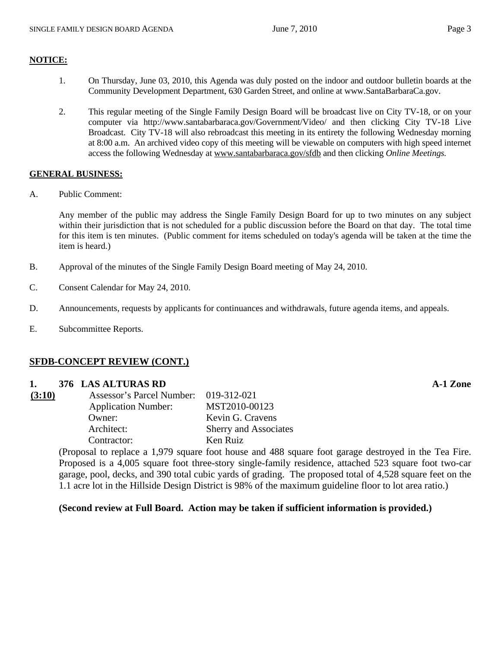#### **NOTICE:**

- 1. On Thursday, June 03, 2010, this Agenda was duly posted on the indoor and outdoor bulletin boards at the Community Development Department, 630 Garden Street, and online at www.SantaBarbaraCa.gov.
- 2. This regular meeting of the Single Family Design Board will be broadcast live on City TV-18, or on your computer via http://www.santabarbaraca.gov/Government/Video/ and then clicking City TV-18 Live Broadcast. City TV-18 will also rebroadcast this meeting in its entirety the following Wednesday morning at 8:00 a.m. An archived video copy of this meeting will be viewable on computers with high speed internet access the following Wednesday at www.santabarbaraca.gov/sfdb and then clicking *Online Meetings.*

#### **GENERAL BUSINESS:**

A. Public Comment:

Any member of the public may address the Single Family Design Board for up to two minutes on any subject within their jurisdiction that is not scheduled for a public discussion before the Board on that day. The total time for this item is ten minutes. (Public comment for items scheduled on today's agenda will be taken at the time the item is heard.)

- B. Approval of the minutes of the Single Family Design Board meeting of May 24, 2010.
- C. Consent Calendar for May 24, 2010.
- D. Announcements, requests by applicants for continuances and withdrawals, future agenda items, and appeals.
- E. Subcommittee Reports.

#### **SFDB-CONCEPT REVIEW (CONT.)**

#### **1. 376 LAS ALTURAS RD A-1 Zone**

| (3:10) | Assessor's Parcel Number: 019-312-021 |                              |
|--------|---------------------------------------|------------------------------|
|        | <b>Application Number:</b>            | MST2010-00123                |
|        | Owner:                                | Kevin G. Cravens             |
|        | Architect:                            | <b>Sherry and Associates</b> |
|        | Contractor:                           | Ken Ruiz                     |

(Proposal to replace a 1,979 square foot house and 488 square foot garage destroyed in the Tea Fire. Proposed is a 4,005 square foot three-story single-family residence, attached 523 square foot two-car garage, pool, decks, and 390 total cubic yards of grading. The proposed total of 4,528 square feet on the 1.1 acre lot in the Hillside Design District is 98% of the maximum guideline floor to lot area ratio.)

#### **(Second review at Full Board. Action may be taken if sufficient information is provided.)**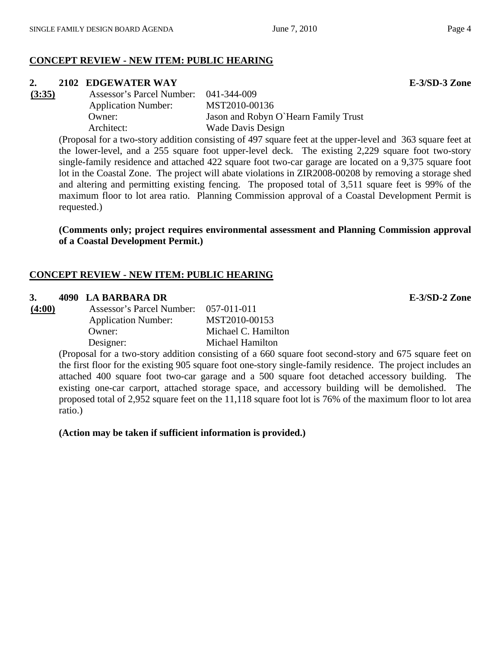# **CONCEPT REVIEW - NEW ITEM: PUBLIC HEARING**

### **2. 2102 EDGEWATER WAY E-3/SD-3 Zone**

**(3:35)** Assessor's Parcel Number: 041-344-009 Application Number: MST2010-00136 Owner: Jason and Robyn O`Hearn Family Trust Architect: Wade Davis Design

(Proposal for a two-story addition consisting of 497 square feet at the upper-level and 363 square feet at the lower-level, and a 255 square foot upper-level deck. The existing 2,229 square foot two-story single-family residence and attached 422 square foot two-car garage are located on a 9,375 square foot lot in the Coastal Zone. The project will abate violations in ZIR2008-00208 by removing a storage shed and altering and permitting existing fencing. The proposed total of 3,511 square feet is 99% of the maximum floor to lot area ratio. Planning Commission approval of a Coastal Development Permit is requested.)

**(Comments only; project requires environmental assessment and Planning Commission approval of a Coastal Development Permit.)** 

#### **CONCEPT REVIEW - NEW ITEM: PUBLIC HEARING**

#### **3. 4090 LA BARBARA DR E-3/SD-2 Zone**

| (4:00) | Assessor's Parcel Number:  | $0.57 - 0.11 - 0.11$ |
|--------|----------------------------|----------------------|
|        | <b>Application Number:</b> | MST2010-00153        |
|        | Owner:                     | Michael C. Hamilton  |
|        | Designer:                  | Michael Hamilton     |

(Proposal for a two-story addition consisting of a 660 square foot second-story and 675 square feet on the first floor for the existing 905 square foot one-story single-family residence. The project includes an attached 400 square foot two-car garage and a 500 square foot detached accessory building. The existing one-car carport, attached storage space, and accessory building will be demolished. The proposed total of 2,952 square feet on the 11,118 square foot lot is 76% of the maximum floor to lot area ratio.)

**(Action may be taken if sufficient information is provided.)**